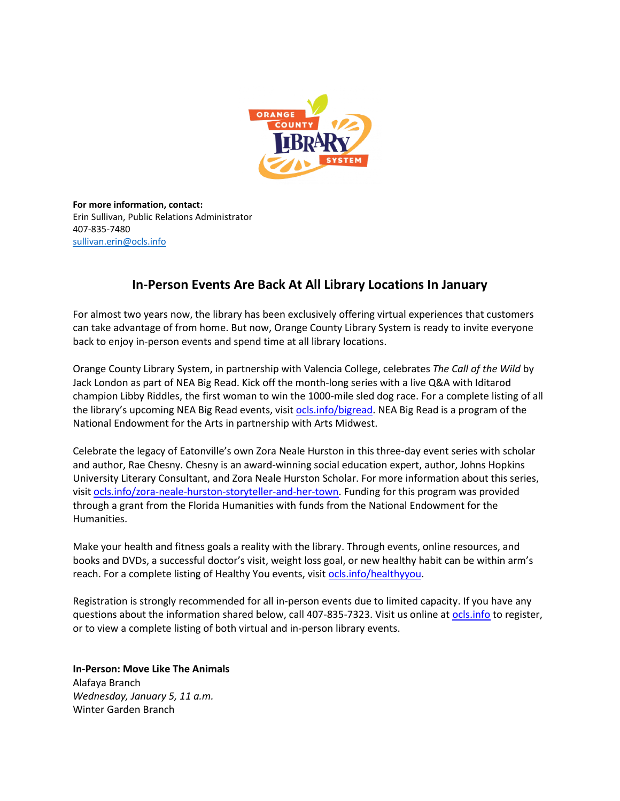

**For more information, contact:** Erin Sullivan, Public Relations Administrator 407-835-7480 [sullivan.erin@ocls.info](mailto:sullivan.erin@ocls.info)

# **In-Person Events Are Back At All Library Locations In January**

For almost two years now, the library has been exclusively offering virtual experiences that customers can take advantage of from home. But now, Orange County Library System is ready to invite everyone back to enjoy in-person events and spend time at all library locations.

Orange County Library System, in partnership with Valencia College, celebrates *The Call of the Wild* by Jack London as part of NEA Big Read. Kick off the month-long series with a live Q&A with Iditarod champion Libby Riddles, the first woman to win the 1000-mile sled dog race. For a complete listing of all the library's upcoming NEA Big Read events, visit ocls.info/bigread. NEA Big Read is a program of the National Endowment for the Arts in partnership with Arts Midwest.

Celebrate the legacy of Eatonville's own Zora Neale Hurston in this three-day event series with scholar and author, Rae Chesny. Chesny is an award-winning social education expert, author, Johns Hopkins University Literary Consultant, and Zora Neale Hurston Scholar. For more information about this series, visit [ocls.info/zora-neale-hurston-storyteller-and-her-town.](https://www.ocls.info/zora-neale-hurston-storyteller-and-her-town) Funding for this program was provided through a grant from the Florida Humanities with funds from the National Endowment for the Humanities.

Make your health and fitness goals a reality with the library. Through events, online resources, and books and DVDs, a successful doctor's visit, weight loss goal, or new healthy habit can be within arm's reach. For a complete listing of Healthy You events, visit [ocls.info/healthyyou.](https://www.ocls.info/healthyyou)

Registration is strongly recommended for all in-person events due to limited capacity. If you have any questions about the information shared below, call 407-835-7323. Visit us online at [ocls.info](http://www.ocls.info/) to register, or to view a complete listing of both virtual and in-person library events.

**In-Person: Move Like The Animals** Alafaya Branch *Wednesday, January 5, 11 a.m.*

Winter Garden Branch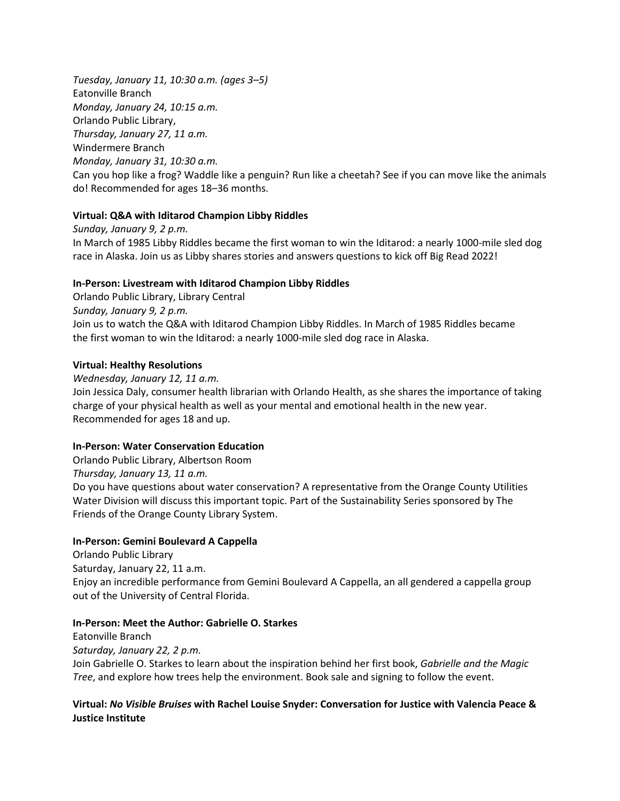*Tuesday, January 11, 10:30 a.m. (ages 3–5)* Eatonville Branch *Monday, January 24, 10:15 a.m.* Orlando Public Library, *Thursday, January 27, 11 a.m.* Windermere Branch *Monday, January 31, 10:30 a.m.* Can you hop like a frog? Waddle like a penguin? Run like a cheetah? See if you can move like the animals do! Recommended for ages 18–36 months.

### **Virtual: Q&A with Iditarod Champion Libby Riddles**

*Sunday, January 9, 2 p.m.* In March of 1985 Libby Riddles became the first woman to win the Iditarod: a nearly 1000-mile sled dog race in Alaska. Join us as Libby shares stories and answers questions to kick off Big Read 2022!

### **In-Person: Livestream with Iditarod Champion Libby Riddles**

Orlando Public Library, Library Central *Sunday, January 9, 2 p.m.* Join us to watch the Q&A with Iditarod Champion Libby Riddles. In March of 1985 Riddles became the first woman to win the Iditarod: a nearly 1000-mile sled dog race in Alaska.

### **Virtual: Healthy Resolutions**

*Wednesday, January 12, 11 a.m.* Join Jessica Daly, consumer health librarian with Orlando Health, as she shares the importance of taking charge of your physical health as well as your mental and emotional health in the new year. Recommended for ages 18 and up.

# **In-Person: Water Conservation Education**

Orlando Public Library, Albertson Room *Thursday, January 13, 11 a.m.* Do you have questions about water conservation? A representative from the Orange County Utilities Water Division will discuss this important topic. Part of the Sustainability Series sponsored by The Friends of the Orange County Library System.

### **In-Person: Gemini Boulevard A Cappella**

Orlando Public Library Saturday, January 22, 11 a.m. Enjoy an incredible performance from Gemini Boulevard A Cappella, an all gendered a cappella group out of the University of Central Florida.

### **In-Person: Meet the Author: Gabrielle O. Starkes**

Eatonville Branch *Saturday, January 22, 2 p.m.* Join Gabrielle O. Starkes to learn about the inspiration behind her first book, *Gabrielle and the Magic Tree*, and explore how trees help the environment. Book sale and signing to follow the event.

# **Virtual:** *No Visible Bruises* **with Rachel Louise Snyder: Conversation for Justice with Valencia Peace & Justice Institute**